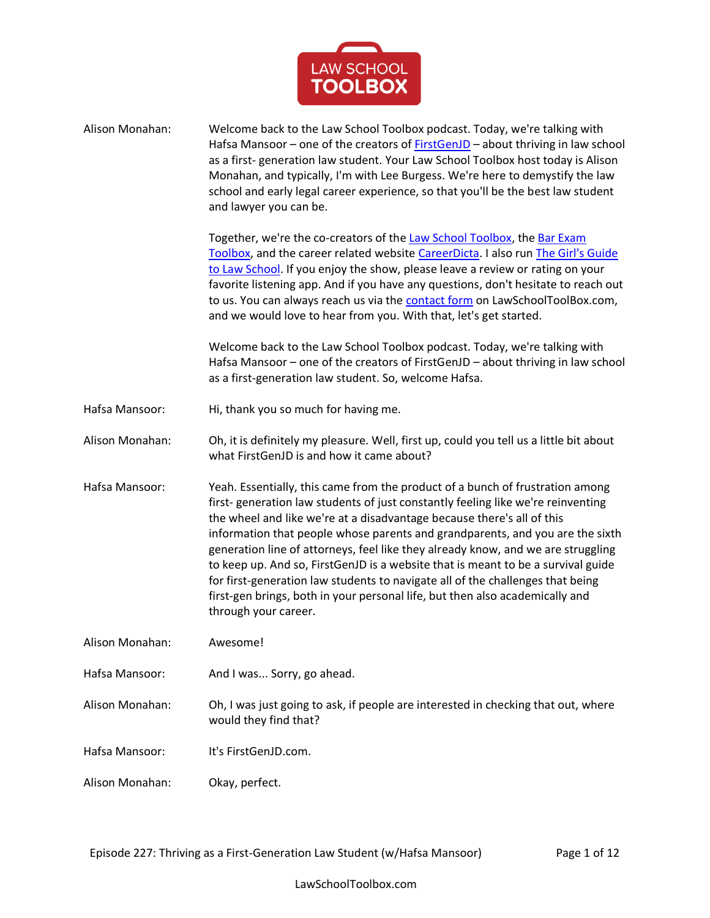

| Alison Monahan: | Welcome back to the Law School Toolbox podcast. Today, we're talking with<br>Hafsa Mansoor - one of the creators of <b>FirstGenJD</b> - about thriving in law school<br>as a first-generation law student. Your Law School Toolbox host today is Alison<br>Monahan, and typically, I'm with Lee Burgess. We're here to demystify the law<br>school and early legal career experience, so that you'll be the best law student<br>and lawyer you can be.                                                                                                                                                                                                                                        |
|-----------------|-----------------------------------------------------------------------------------------------------------------------------------------------------------------------------------------------------------------------------------------------------------------------------------------------------------------------------------------------------------------------------------------------------------------------------------------------------------------------------------------------------------------------------------------------------------------------------------------------------------------------------------------------------------------------------------------------|
|                 | Together, we're the co-creators of the Law School Toolbox, the Bar Exam<br>Toolbox, and the career related website CareerDicta. I also run The Girl's Guide<br>to Law School. If you enjoy the show, please leave a review or rating on your<br>favorite listening app. And if you have any questions, don't hesitate to reach out<br>to us. You can always reach us via the contact form on LawSchoolToolBox.com,<br>and we would love to hear from you. With that, let's get started.                                                                                                                                                                                                       |
|                 | Welcome back to the Law School Toolbox podcast. Today, we're talking with<br>Hafsa Mansoor - one of the creators of FirstGenJD - about thriving in law school<br>as a first-generation law student. So, welcome Hafsa.                                                                                                                                                                                                                                                                                                                                                                                                                                                                        |
| Hafsa Mansoor:  | Hi, thank you so much for having me.                                                                                                                                                                                                                                                                                                                                                                                                                                                                                                                                                                                                                                                          |
| Alison Monahan: | Oh, it is definitely my pleasure. Well, first up, could you tell us a little bit about<br>what FirstGenJD is and how it came about?                                                                                                                                                                                                                                                                                                                                                                                                                                                                                                                                                           |
| Hafsa Mansoor:  | Yeah. Essentially, this came from the product of a bunch of frustration among<br>first-generation law students of just constantly feeling like we're reinventing<br>the wheel and like we're at a disadvantage because there's all of this<br>information that people whose parents and grandparents, and you are the sixth<br>generation line of attorneys, feel like they already know, and we are struggling<br>to keep up. And so, FirstGenJD is a website that is meant to be a survival guide<br>for first-generation law students to navigate all of the challenges that being<br>first-gen brings, both in your personal life, but then also academically and<br>through your career. |
| Alison Monahan: | Awesome!                                                                                                                                                                                                                                                                                                                                                                                                                                                                                                                                                                                                                                                                                      |
| Hafsa Mansoor:  | And I was Sorry, go ahead.                                                                                                                                                                                                                                                                                                                                                                                                                                                                                                                                                                                                                                                                    |
| Alison Monahan: | Oh, I was just going to ask, if people are interested in checking that out, where<br>would they find that?                                                                                                                                                                                                                                                                                                                                                                                                                                                                                                                                                                                    |
| Hafsa Mansoor:  | It's FirstGenJD.com.                                                                                                                                                                                                                                                                                                                                                                                                                                                                                                                                                                                                                                                                          |
| Alison Monahan: | Okay, perfect.                                                                                                                                                                                                                                                                                                                                                                                                                                                                                                                                                                                                                                                                                |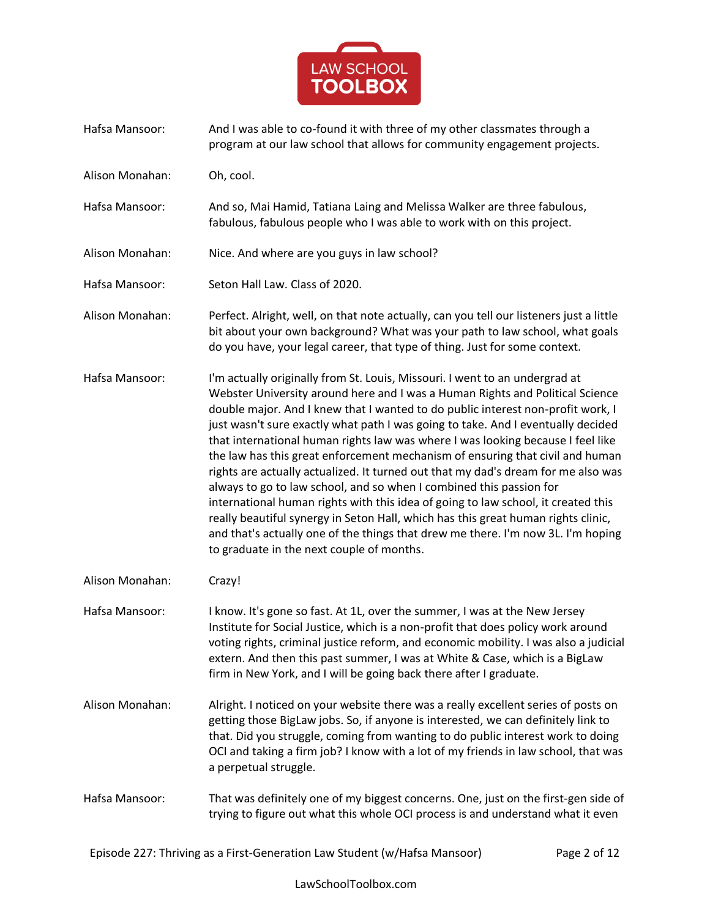

- Hafsa Mansoor: And I was able to co-found it with three of my other classmates through a program at our law school that allows for community engagement projects.
- Alison Monahan: Oh, cool.
- Hafsa Mansoor: And so, Mai Hamid, Tatiana Laing and Melissa Walker are three fabulous, fabulous, fabulous people who I was able to work with on this project.
- Alison Monahan: Nice. And where are you guys in law school?
- Hafsa Mansoor: Seton Hall Law. Class of 2020.
- Alison Monahan: Perfect. Alright, well, on that note actually, can you tell our listeners just a little bit about your own background? What was your path to law school, what goals do you have, your legal career, that type of thing. Just for some context.
- Hafsa Mansoor: I'm actually originally from St. Louis, Missouri. I went to an undergrad at Webster University around here and I was a Human Rights and Political Science double major. And I knew that I wanted to do public interest non-profit work, I just wasn't sure exactly what path I was going to take. And I eventually decided that international human rights law was where I was looking because I feel like the law has this great enforcement mechanism of ensuring that civil and human rights are actually actualized. It turned out that my dad's dream for me also was always to go to law school, and so when I combined this passion for international human rights with this idea of going to law school, it created this really beautiful synergy in Seton Hall, which has this great human rights clinic, and that's actually one of the things that drew me there. I'm now 3L. I'm hoping to graduate in the next couple of months.
- Alison Monahan: Crazy!
- Hafsa Mansoor: I know. It's gone so fast. At 1L, over the summer, I was at the New Jersey Institute for Social Justice, which is a non-profit that does policy work around voting rights, criminal justice reform, and economic mobility. I was also a judicial extern. And then this past summer, I was at White & Case, which is a BigLaw firm in New York, and I will be going back there after I graduate.
- Alison Monahan: Alright. I noticed on your website there was a really excellent series of posts on getting those BigLaw jobs. So, if anyone is interested, we can definitely link to that. Did you struggle, coming from wanting to do public interest work to doing OCI and taking a firm job? I know with a lot of my friends in law school, that was a perpetual struggle.
- Hafsa Mansoor: That was definitely one of my biggest concerns. One, just on the first-gen side of trying to figure out what this whole OCI process is and understand what it even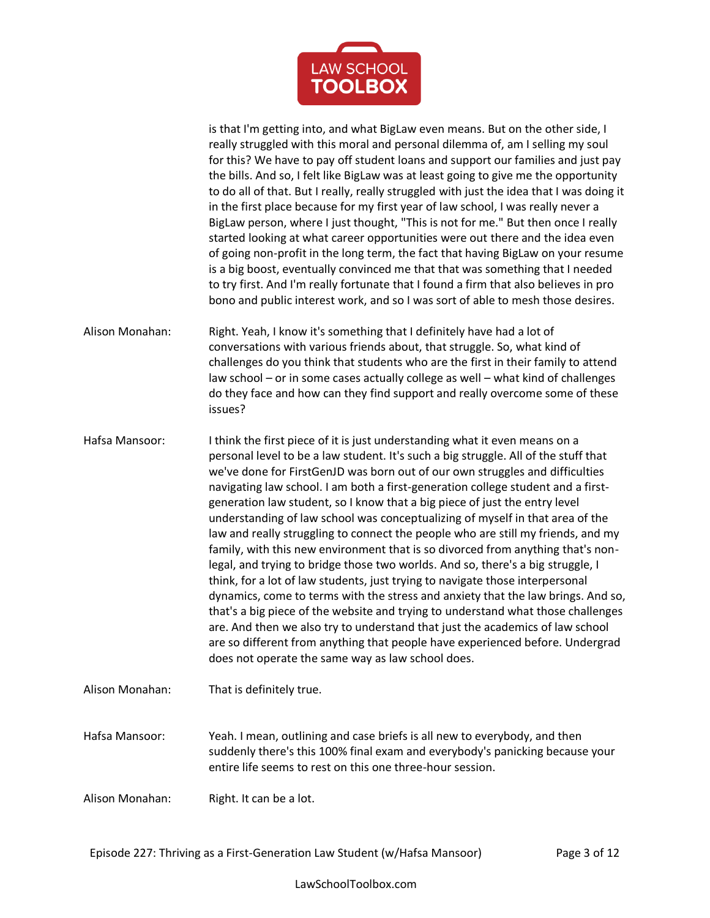

is that I'm getting into, and what BigLaw even means. But on the other side, I really struggled with this moral and personal dilemma of, am I selling my soul for this? We have to pay off student loans and support our families and just pay the bills. And so, I felt like BigLaw was at least going to give me the opportunity to do all of that. But I really, really struggled with just the idea that I was doing it in the first place because for my first year of law school, I was really never a BigLaw person, where I just thought, "This is not for me." But then once I really started looking at what career opportunities were out there and the idea even of going non-profit in the long term, the fact that having BigLaw on your resume is a big boost, eventually convinced me that that was something that I needed to try first. And I'm really fortunate that I found a firm that also believes in pro bono and public interest work, and so I was sort of able to mesh those desires.

Alison Monahan: Right. Yeah, I know it's something that I definitely have had a lot of conversations with various friends about, that struggle. So, what kind of challenges do you think that students who are the first in their family to attend law school – or in some cases actually college as well – what kind of challenges do they face and how can they find support and really overcome some of these issues?

Hafsa Mansoor: I think the first piece of it is just understanding what it even means on a personal level to be a law student. It's such a big struggle. All of the stuff that we've done for FirstGenJD was born out of our own struggles and difficulties navigating law school. I am both a first-generation college student and a firstgeneration law student, so I know that a big piece of just the entry level understanding of law school was conceptualizing of myself in that area of the law and really struggling to connect the people who are still my friends, and my family, with this new environment that is so divorced from anything that's nonlegal, and trying to bridge those two worlds. And so, there's a big struggle, I think, for a lot of law students, just trying to navigate those interpersonal dynamics, come to terms with the stress and anxiety that the law brings. And so, that's a big piece of the website and trying to understand what those challenges are. And then we also try to understand that just the academics of law school are so different from anything that people have experienced before. Undergrad does not operate the same way as law school does.

Alison Monahan: That is definitely true. Hafsa Mansoor: Yeah. I mean, outlining and case briefs is all new to everybody, and then suddenly there's this 100% final exam and everybody's panicking because your entire life seems to rest on this one three-hour session.

Alison Monahan: Right. It can be a lot.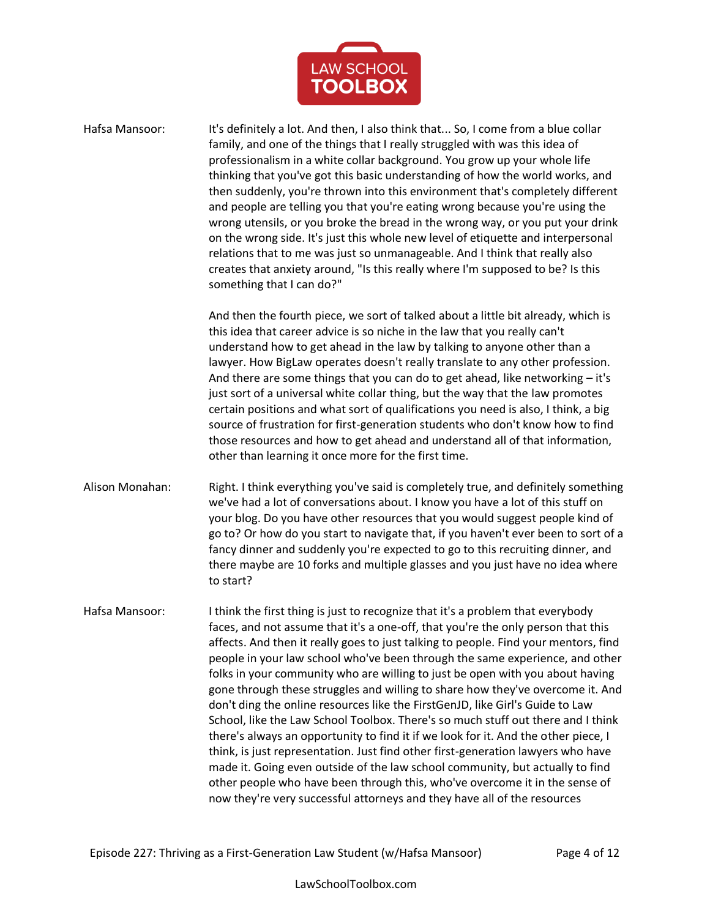

Hafsa Mansoor: It's definitely a lot. And then, I also think that... So, I come from a blue collar family, and one of the things that I really struggled with was this idea of professionalism in a white collar background. You grow up your whole life thinking that you've got this basic understanding of how the world works, and then suddenly, you're thrown into this environment that's completely different and people are telling you that you're eating wrong because you're using the wrong utensils, or you broke the bread in the wrong way, or you put your drink on the wrong side. It's just this whole new level of etiquette and interpersonal relations that to me was just so unmanageable. And I think that really also creates that anxiety around, "Is this really where I'm supposed to be? Is this something that I can do?" And then the fourth piece, we sort of talked about a little bit already, which is this idea that career advice is so niche in the law that you really can't understand how to get ahead in the law by talking to anyone other than a lawyer. How BigLaw operates doesn't really translate to any other profession. And there are some things that you can do to get ahead, like networking  $-$  it's just sort of a universal white collar thing, but the way that the law promotes certain positions and what sort of qualifications you need is also, I think, a big source of frustration for first-generation students who don't know how to find those resources and how to get ahead and understand all of that information, other than learning it once more for the first time. Alison Monahan: Right. I think everything you've said is completely true, and definitely something we've had a lot of conversations about. I know you have a lot of this stuff on your blog. Do you have other resources that you would suggest people kind of go to? Or how do you start to navigate that, if you haven't ever been to sort of a fancy dinner and suddenly you're expected to go to this recruiting dinner, and there maybe are 10 forks and multiple glasses and you just have no idea where to start? Hafsa Mansoor: I think the first thing is just to recognize that it's a problem that everybody faces, and not assume that it's a one-off, that you're the only person that this affects. And then it really goes to just talking to people. Find your mentors, find people in your law school who've been through the same experience, and other folks in your community who are willing to just be open with you about having gone through these struggles and willing to share how they've overcome it. And don't ding the online resources like the FirstGenJD, like Girl's Guide to Law School, like the Law School Toolbox. There's so much stuff out there and I think there's always an opportunity to find it if we look for it. And the other piece, I think, is just representation. Just find other first-generation lawyers who have made it. Going even outside of the law school community, but actually to find other people who have been through this, who've overcome it in the sense of now they're very successful attorneys and they have all of the resources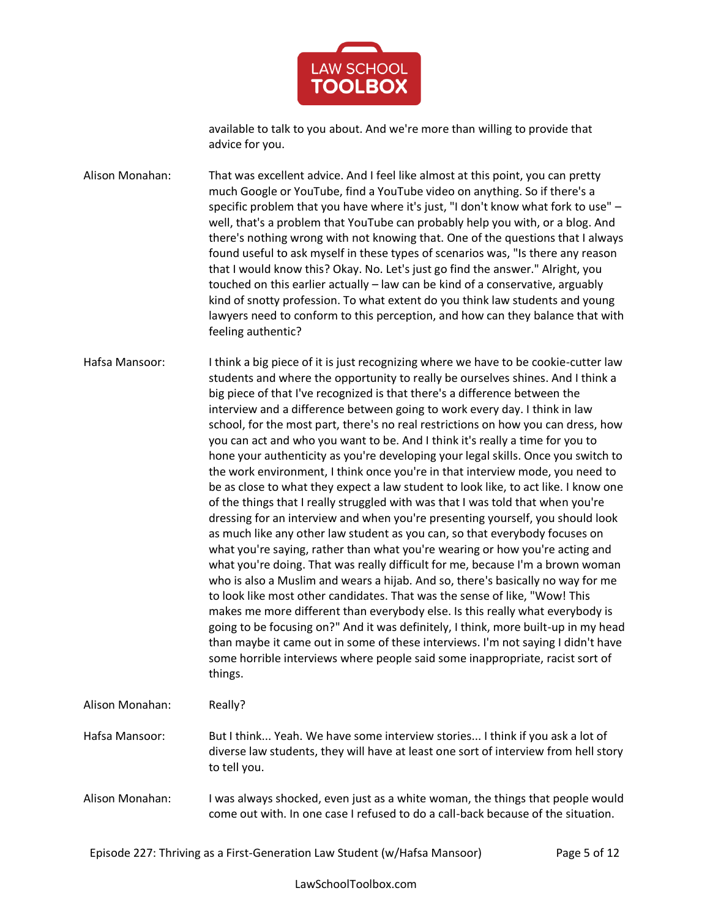

available to talk to you about. And we're more than willing to provide that advice for you.

Alison Monahan: That was excellent advice. And I feel like almost at this point, you can pretty much Google or YouTube, find a YouTube video on anything. So if there's a specific problem that you have where it's just, "I don't know what fork to use" – well, that's a problem that YouTube can probably help you with, or a blog. And there's nothing wrong with not knowing that. One of the questions that I always found useful to ask myself in these types of scenarios was, "Is there any reason that I would know this? Okay. No. Let's just go find the answer." Alright, you touched on this earlier actually – law can be kind of a conservative, arguably kind of snotty profession. To what extent do you think law students and young lawyers need to conform to this perception, and how can they balance that with feeling authentic?

Hafsa Mansoor: I think a big piece of it is just recognizing where we have to be cookie-cutter law students and where the opportunity to really be ourselves shines. And I think a big piece of that I've recognized is that there's a difference between the interview and a difference between going to work every day. I think in law school, for the most part, there's no real restrictions on how you can dress, how you can act and who you want to be. And I think it's really a time for you to hone your authenticity as you're developing your legal skills. Once you switch to the work environment, I think once you're in that interview mode, you need to be as close to what they expect a law student to look like, to act like. I know one of the things that I really struggled with was that I was told that when you're dressing for an interview and when you're presenting yourself, you should look as much like any other law student as you can, so that everybody focuses on what you're saying, rather than what you're wearing or how you're acting and what you're doing. That was really difficult for me, because I'm a brown woman who is also a Muslim and wears a hijab. And so, there's basically no way for me to look like most other candidates. That was the sense of like, "Wow! This makes me more different than everybody else. Is this really what everybody is going to be focusing on?" And it was definitely, I think, more built-up in my head than maybe it came out in some of these interviews. I'm not saying I didn't have some horrible interviews where people said some inappropriate, racist sort of things.

Alison Monahan: Really?

Hafsa Mansoor: But I think... Yeah. We have some interview stories... I think if you ask a lot of diverse law students, they will have at least one sort of interview from hell story to tell you.

Alison Monahan: I was always shocked, even just as a white woman, the things that people would come out with. In one case I refused to do a call-back because of the situation.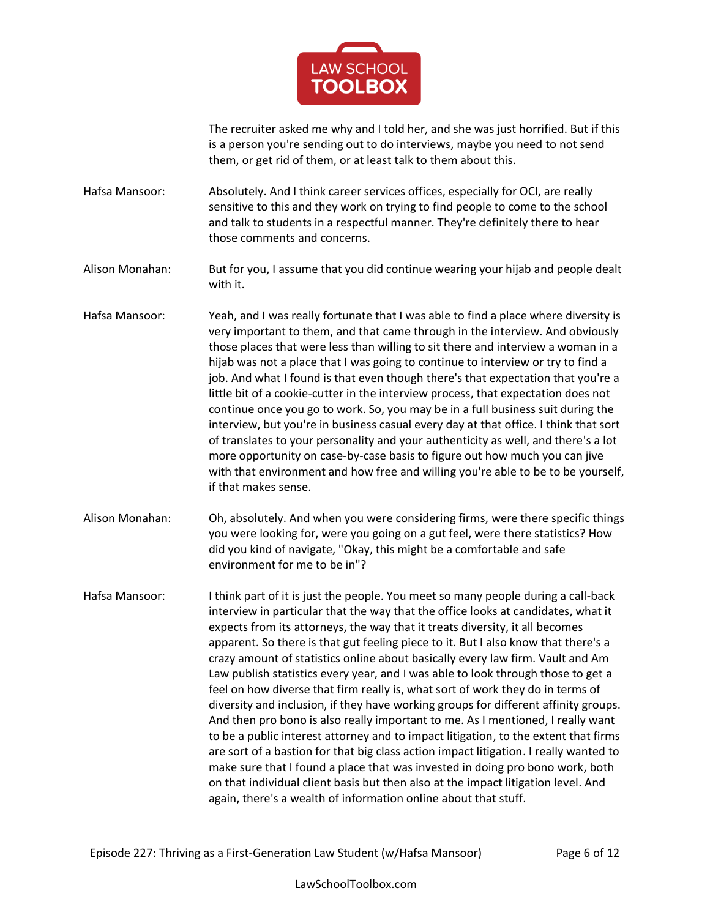

The recruiter asked me why and I told her, and she was just horrified. But if this is a person you're sending out to do interviews, maybe you need to not send them, or get rid of them, or at least talk to them about this.

Hafsa Mansoor: Absolutely. And I think career services offices, especially for OCI, are really sensitive to this and they work on trying to find people to come to the school and talk to students in a respectful manner. They're definitely there to hear those comments and concerns.

Alison Monahan: But for you, I assume that you did continue wearing your hijab and people dealt with it.

- Hafsa Mansoor: Yeah, and I was really fortunate that I was able to find a place where diversity is very important to them, and that came through in the interview. And obviously those places that were less than willing to sit there and interview a woman in a hijab was not a place that I was going to continue to interview or try to find a job. And what I found is that even though there's that expectation that you're a little bit of a cookie-cutter in the interview process, that expectation does not continue once you go to work. So, you may be in a full business suit during the interview, but you're in business casual every day at that office. I think that sort of translates to your personality and your authenticity as well, and there's a lot more opportunity on case-by-case basis to figure out how much you can jive with that environment and how free and willing you're able to be to be yourself, if that makes sense.
- Alison Monahan: Oh, absolutely. And when you were considering firms, were there specific things you were looking for, were you going on a gut feel, were there statistics? How did you kind of navigate, "Okay, this might be a comfortable and safe environment for me to be in"?

Hafsa Mansoor: I think part of it is just the people. You meet so many people during a call-back interview in particular that the way that the office looks at candidates, what it expects from its attorneys, the way that it treats diversity, it all becomes apparent. So there is that gut feeling piece to it. But I also know that there's a crazy amount of statistics online about basically every law firm. Vault and Am Law publish statistics every year, and I was able to look through those to get a feel on how diverse that firm really is, what sort of work they do in terms of diversity and inclusion, if they have working groups for different affinity groups. And then pro bono is also really important to me. As I mentioned, I really want to be a public interest attorney and to impact litigation, to the extent that firms are sort of a bastion for that big class action impact litigation. I really wanted to make sure that I found a place that was invested in doing pro bono work, both on that individual client basis but then also at the impact litigation level. And again, there's a wealth of information online about that stuff.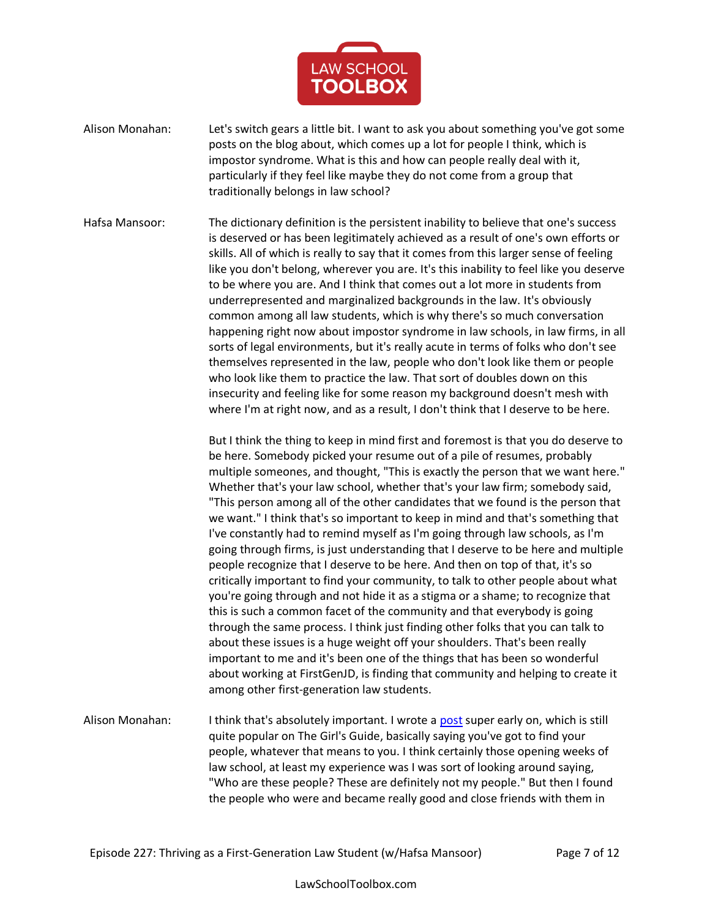

Alison Monahan: Let's switch gears a little bit. I want to ask you about something you've got some posts on the blog about, which comes up a lot for people I think, which is impostor syndrome. What is this and how can people really deal with it, particularly if they feel like maybe they do not come from a group that traditionally belongs in law school?

Hafsa Mansoor: The dictionary definition is the persistent inability to believe that one's success is deserved or has been legitimately achieved as a result of one's own efforts or skills. All of which is really to say that it comes from this larger sense of feeling like you don't belong, wherever you are. It's this inability to feel like you deserve to be where you are. And I think that comes out a lot more in students from underrepresented and marginalized backgrounds in the law. It's obviously common among all law students, which is why there's so much conversation happening right now about impostor syndrome in law schools, in law firms, in all sorts of legal environments, but it's really acute in terms of folks who don't see themselves represented in the law, people who don't look like them or people who look like them to practice the law. That sort of doubles down on this insecurity and feeling like for some reason my background doesn't mesh with where I'm at right now, and as a result, I don't think that I deserve to be here.

> But I think the thing to keep in mind first and foremost is that you do deserve to be here. Somebody picked your resume out of a pile of resumes, probably multiple someones, and thought, "This is exactly the person that we want here." Whether that's your law school, whether that's your law firm; somebody said, "This person among all of the other candidates that we found is the person that we want." I think that's so important to keep in mind and that's something that I've constantly had to remind myself as I'm going through law schools, as I'm going through firms, is just understanding that I deserve to be here and multiple people recognize that I deserve to be here. And then on top of that, it's so critically important to find your community, to talk to other people about what you're going through and not hide it as a stigma or a shame; to recognize that this is such a common facet of the community and that everybody is going through the same process. I think just finding other folks that you can talk to about these issues is a huge weight off your shoulders. That's been really important to me and it's been one of the things that has been so wonderful about working at FirstGenJD, is finding that community and helping to create it among other first-generation law students.

Alison Monahan: I think that's absolutely important. I wrote a [post](https://thegirlsguidetolawschool.com/08/surviving-law-school-find-your-people/) super early on, which is still quite popular on The Girl's Guide, basically saying you've got to find your people, whatever that means to you. I think certainly those opening weeks of law school, at least my experience was I was sort of looking around saying, "Who are these people? These are definitely not my people." But then I found the people who were and became really good and close friends with them in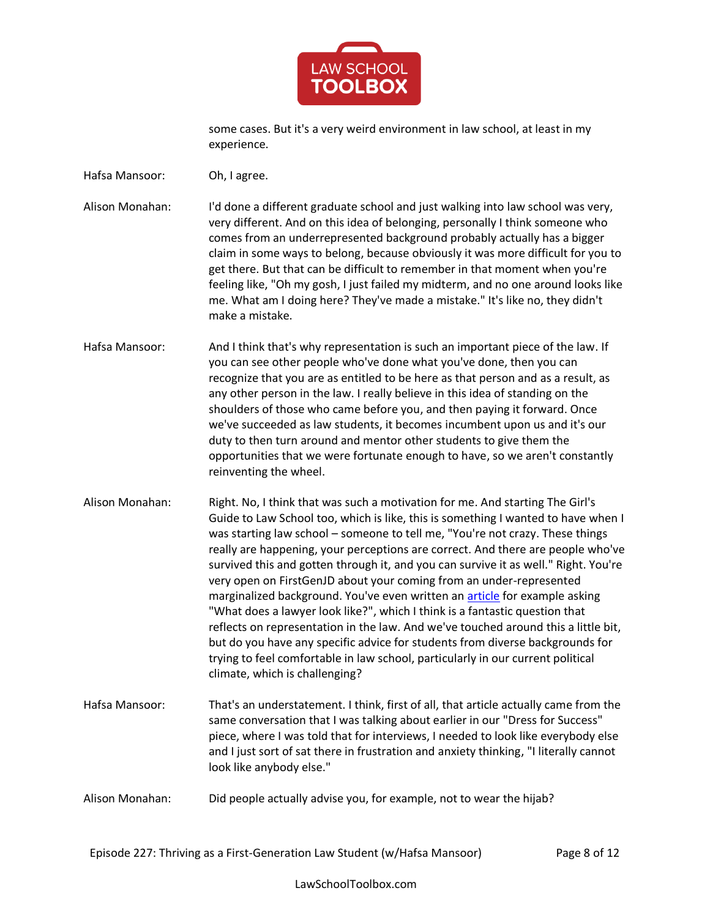

some cases. But it's a very weird environment in law school, at least in my experience.

Hafsa Mansoor: Oh, I agree.

Alison Monahan: I'd done a different graduate school and just walking into law school was very, very different. And on this idea of belonging, personally I think someone who comes from an underrepresented background probably actually has a bigger claim in some ways to belong, because obviously it was more difficult for you to get there. But that can be difficult to remember in that moment when you're feeling like, "Oh my gosh, I just failed my midterm, and no one around looks like me. What am I doing here? They've made a mistake." It's like no, they didn't make a mistake.

- Hafsa Mansoor: And I think that's why representation is such an important piece of the law. If you can see other people who've done what you've done, then you can recognize that you are as entitled to be here as that person and as a result, as any other person in the law. I really believe in this idea of standing on the shoulders of those who came before you, and then paying it forward. Once we've succeeded as law students, it becomes incumbent upon us and it's our duty to then turn around and mentor other students to give them the opportunities that we were fortunate enough to have, so we aren't constantly reinventing the wheel.
- Alison Monahan: Right. No, I think that was such a motivation for me. And starting The Girl's Guide to Law School too, which is like, this is something I wanted to have when I was starting law school – someone to tell me, "You're not crazy. These things really are happening, your perceptions are correct. And there are people who've survived this and gotten through it, and you can survive it as well." Right. You're very open on FirstGenJD about your coming from an under-represented marginalized background. You've even written an **article** for example asking "What does a lawyer look like?", which I think is a fantastic question that reflects on representation in the law. And we've touched around this a little bit, but do you have any specific advice for students from diverse backgrounds for trying to feel comfortable in law school, particularly in our current political climate, which is challenging?
- Hafsa Mansoor: That's an understatement. I think, first of all, that article actually came from the same conversation that I was talking about earlier in our "Dress for Success" piece, where I was told that for interviews, I needed to look like everybody else and I just sort of sat there in frustration and anxiety thinking, "I literally cannot look like anybody else."
- Alison Monahan: Did people actually advise you, for example, not to wear the hijab?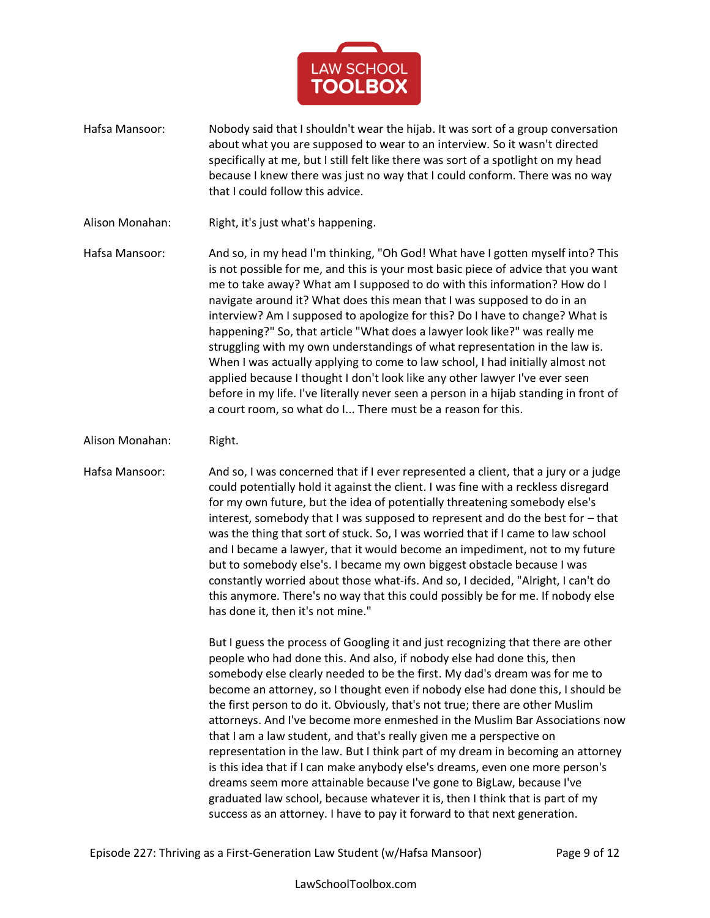

Hafsa Mansoor: Nobody said that I shouldn't wear the hijab. It was sort of a group conversation about what you are supposed to wear to an interview. So it wasn't directed specifically at me, but I still felt like there was sort of a spotlight on my head because I knew there was just no way that I could conform. There was no way that I could follow this advice.

Alison Monahan: Right, it's just what's happening.

Hafsa Mansoor: And so, in my head I'm thinking, "Oh God! What have I gotten myself into? This is not possible for me, and this is your most basic piece of advice that you want me to take away? What am I supposed to do with this information? How do I navigate around it? What does this mean that I was supposed to do in an interview? Am I supposed to apologize for this? Do I have to change? What is happening?" So, that article "What does a lawyer look like?" was really me struggling with my own understandings of what representation in the law is. When I was actually applying to come to law school, I had initially almost not applied because I thought I don't look like any other lawyer I've ever seen before in my life. I've literally never seen a person in a hijab standing in front of a court room, so what do I... There must be a reason for this.

Alison Monahan: Right.

Hafsa Mansoor: And so, I was concerned that if I ever represented a client, that a jury or a judge could potentially hold it against the client. I was fine with a reckless disregard for my own future, but the idea of potentially threatening somebody else's interest, somebody that I was supposed to represent and do the best for – that was the thing that sort of stuck. So, I was worried that if I came to law school and I became a lawyer, that it would become an impediment, not to my future but to somebody else's. I became my own biggest obstacle because I was constantly worried about those what-ifs. And so, I decided, "Alright, I can't do this anymore. There's no way that this could possibly be for me. If nobody else has done it, then it's not mine."

> But I guess the process of Googling it and just recognizing that there are other people who had done this. And also, if nobody else had done this, then somebody else clearly needed to be the first. My dad's dream was for me to become an attorney, so I thought even if nobody else had done this, I should be the first person to do it. Obviously, that's not true; there are other Muslim attorneys. And I've become more enmeshed in the Muslim Bar Associations now that I am a law student, and that's really given me a perspective on representation in the law. But I think part of my dream in becoming an attorney is this idea that if I can make anybody else's dreams, even one more person's dreams seem more attainable because I've gone to BigLaw, because I've graduated law school, because whatever it is, then I think that is part of my success as an attorney. I have to pay it forward to that next generation.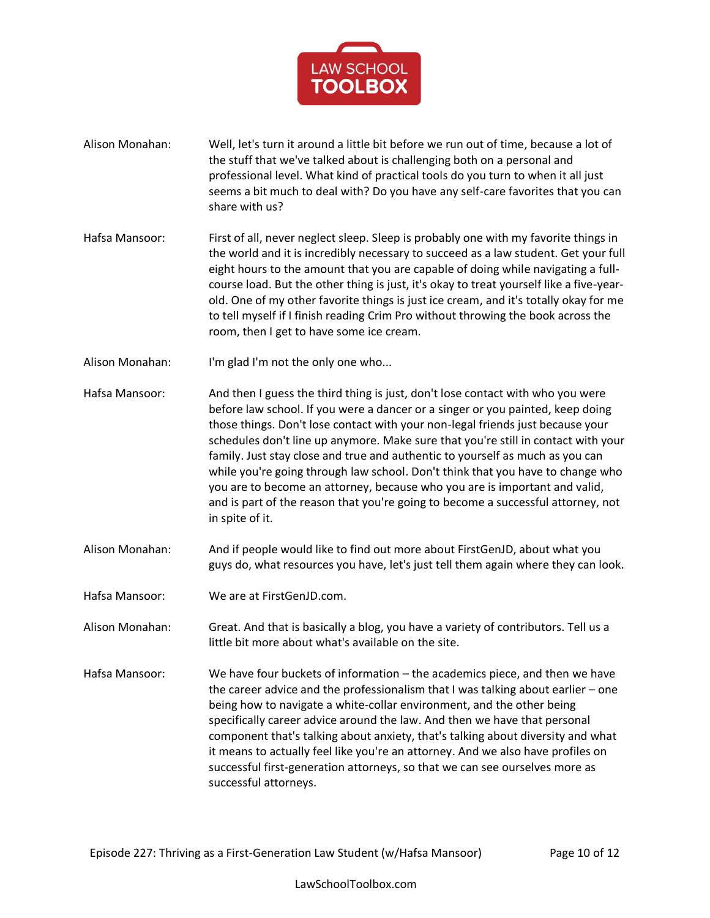

- Alison Monahan: Well, let's turn it around a little bit before we run out of time, because a lot of the stuff that we've talked about is challenging both on a personal and professional level. What kind of practical tools do you turn to when it all just seems a bit much to deal with? Do you have any self-care favorites that you can share with us?
- Hafsa Mansoor: First of all, never neglect sleep. Sleep is probably one with my favorite things in the world and it is incredibly necessary to succeed as a law student. Get your full eight hours to the amount that you are capable of doing while navigating a fullcourse load. But the other thing is just, it's okay to treat yourself like a five-yearold. One of my other favorite things is just ice cream, and it's totally okay for me to tell myself if I finish reading Crim Pro without throwing the book across the room, then I get to have some ice cream.
- Alison Monahan: I'm glad I'm not the only one who...
- Hafsa Mansoor: And then I guess the third thing is just, don't lose contact with who you were before law school. If you were a dancer or a singer or you painted, keep doing those things. Don't lose contact with your non-legal friends just because your schedules don't line up anymore. Make sure that you're still in contact with your family. Just stay close and true and authentic to yourself as much as you can while you're going through law school. Don't think that you have to change who you are to become an attorney, because who you are is important and valid, and is part of the reason that you're going to become a successful attorney, not in spite of it.
- Alison Monahan: And if people would like to find out more about FirstGenJD, about what you guys do, what resources you have, let's just tell them again where they can look.
- Hafsa Mansoor: We are at FirstGenJD.com.
- Alison Monahan: Great. And that is basically a blog, you have a variety of contributors. Tell us a little bit more about what's available on the site.
- Hafsa Mansoor: We have four buckets of information the academics piece, and then we have the career advice and the professionalism that I was talking about earlier – one being how to navigate a white-collar environment, and the other being specifically career advice around the law. And then we have that personal component that's talking about anxiety, that's talking about diversity and what it means to actually feel like you're an attorney. And we also have profiles on successful first-generation attorneys, so that we can see ourselves more as successful attorneys.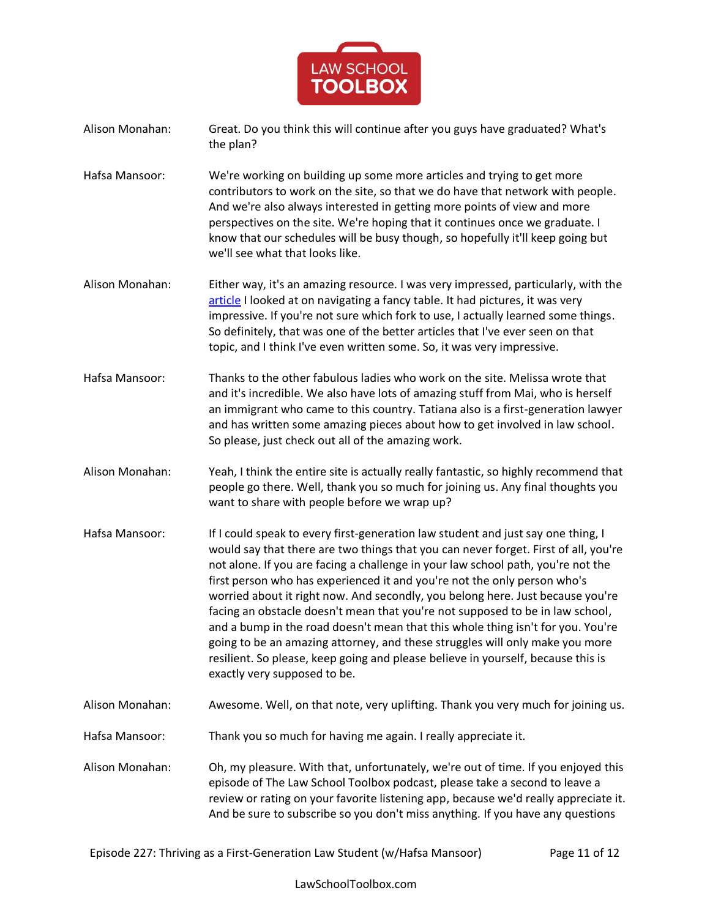

- Alison Monahan: Great. Do you think this will continue after you guys have graduated? What's the plan?
- Hafsa Mansoor: We're working on building up some more articles and trying to get more contributors to work on the site, so that we do have that network with people. And we're also always interested in getting more points of view and more perspectives on the site. We're hoping that it continues once we graduate. I know that our schedules will be busy though, so hopefully it'll keep going but we'll see what that looks like.
- Alison Monahan: Either way, it's an amazing resource. I was very impressed, particularly, with the [article](https://firstgenjd.com/2019/04/29/etiquette-101-divisive-social-rules-that-cause-anxiety/) I looked at on navigating a fancy table. It had pictures, it was very impressive. If you're not sure which fork to use, I actually learned some things. So definitely, that was one of the better articles that I've ever seen on that topic, and I think I've even written some. So, it was very impressive.
- Hafsa Mansoor: Thanks to the other fabulous ladies who work on the site. Melissa wrote that and it's incredible. We also have lots of amazing stuff from Mai, who is herself an immigrant who came to this country. Tatiana also is a first-generation lawyer and has written some amazing pieces about how to get involved in law school. So please, just check out all of the amazing work.
- Alison Monahan: Yeah, I think the entire site is actually really fantastic, so highly recommend that people go there. Well, thank you so much for joining us. Any final thoughts you want to share with people before we wrap up?
- Hafsa Mansoor: If I could speak to every first-generation law student and just say one thing, I would say that there are two things that you can never forget. First of all, you're not alone. If you are facing a challenge in your law school path, you're not the first person who has experienced it and you're not the only person who's worried about it right now. And secondly, you belong here. Just because you're facing an obstacle doesn't mean that you're not supposed to be in law school, and a bump in the road doesn't mean that this whole thing isn't for you. You're going to be an amazing attorney, and these struggles will only make you more resilient. So please, keep going and please believe in yourself, because this is exactly very supposed to be.
- Alison Monahan: Awesome. Well, on that note, very uplifting. Thank you very much for joining us.
- Hafsa Mansoor: Thank you so much for having me again. I really appreciate it.
- Alison Monahan: Oh, my pleasure. With that, unfortunately, we're out of time. If you enjoyed this episode of The Law School Toolbox podcast, please take a second to leave a review or rating on your favorite listening app, because we'd really appreciate it. And be sure to subscribe so you don't miss anything. If you have any questions